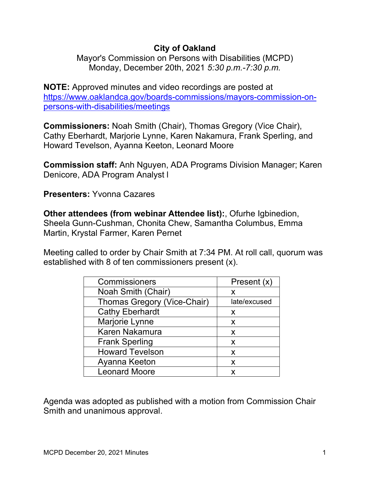## **City of Oakland**

Mayor's Commission on Persons with Disabilities (MCPD) Monday, December 20th, 2021 *5:30 p.m.-7:30 p.m.*

**NOTE:** Approved minutes and video recordings are posted at [https://www.oaklandca.gov/boards-commissions/mayors-commission-on](https://www.oaklandca.gov/boards-commissions/mayors-commission-on-persons-with-disabilities/meetings)[persons-with-disabilities/meetings](https://www.oaklandca.gov/boards-commissions/mayors-commission-on-persons-with-disabilities/meetings)

**Commissioners:** Noah Smith (Chair), Thomas Gregory (Vice Chair), Cathy Eberhardt, Marjorie Lynne, Karen Nakamura, Frank Sperling, and Howard Tevelson, Ayanna Keeton, Leonard Moore

**Commission staff:** Anh Nguyen, ADA Programs Division Manager; Karen Denicore, ADA Program Analyst l

**Presenters:** Yvonna Cazares

**Other attendees (from webinar Attendee list):**, Ofurhe Igbinedion, Sheela Gunn-Cushman, Chonita Chew, Samantha Columbus, Emma Martin, Krystal Farmer, Karen Pernet

Meeting called to order by Chair Smith at 7:34 PM. At roll call, quorum was established with 8 of ten commissioners present (x).

| Commissioners               | Present $(x)$ |  |
|-----------------------------|---------------|--|
| Noah Smith (Chair)          | X             |  |
| Thomas Gregory (Vice-Chair) | late/excused  |  |
| <b>Cathy Eberhardt</b>      | X             |  |
| Marjorie Lynne              | X             |  |
| <b>Karen Nakamura</b>       | X             |  |
| <b>Frank Sperling</b>       | X             |  |
| <b>Howard Tevelson</b>      | X             |  |
| Ayanna Keeton               | X             |  |
| <b>Leonard Moore</b>        |               |  |

Agenda was adopted as published with a motion from Commission Chair Smith and unanimous approval.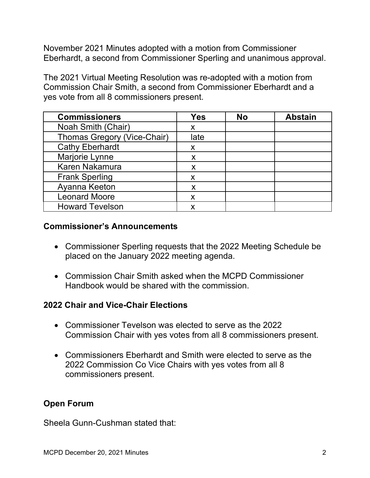November 2021 Minutes adopted with a motion from Commissioner Eberhardt, a second from Commissioner Sperling and unanimous approval.

The 2021 Virtual Meeting Resolution was re-adopted with a motion from Commission Chair Smith, a second from Commissioner Eberhardt and a yes vote from all 8 commissioners present.

| <b>Commissioners</b>        | Yes  | <b>No</b> | <b>Abstain</b> |
|-----------------------------|------|-----------|----------------|
| Noah Smith (Chair)          | Χ    |           |                |
| Thomas Gregory (Vice-Chair) | late |           |                |
| <b>Cathy Eberhardt</b>      | X    |           |                |
| Marjorie Lynne              | X    |           |                |
| Karen Nakamura              | X    |           |                |
| <b>Frank Sperling</b>       | X    |           |                |
| Ayanna Keeton               | X    |           |                |
| <b>Leonard Moore</b>        | X    |           |                |
| <b>Howard Tevelson</b>      | Х    |           |                |

### **Commissioner's Announcements**

- Commissioner Sperling requests that the 2022 Meeting Schedule be placed on the January 2022 meeting agenda.
- Commission Chair Smith asked when the MCPD Commissioner Handbook would be shared with the commission.

### **2022 Chair and Vice-Chair Elections**

- Commissioner Tevelson was elected to serve as the 2022 Commission Chair with yes votes from all 8 commissioners present.
- Commissioners Eberhardt and Smith were elected to serve as the 2022 Commission Co Vice Chairs with yes votes from all 8 commissioners present.

# **Open Forum**

Sheela Gunn-Cushman stated that: